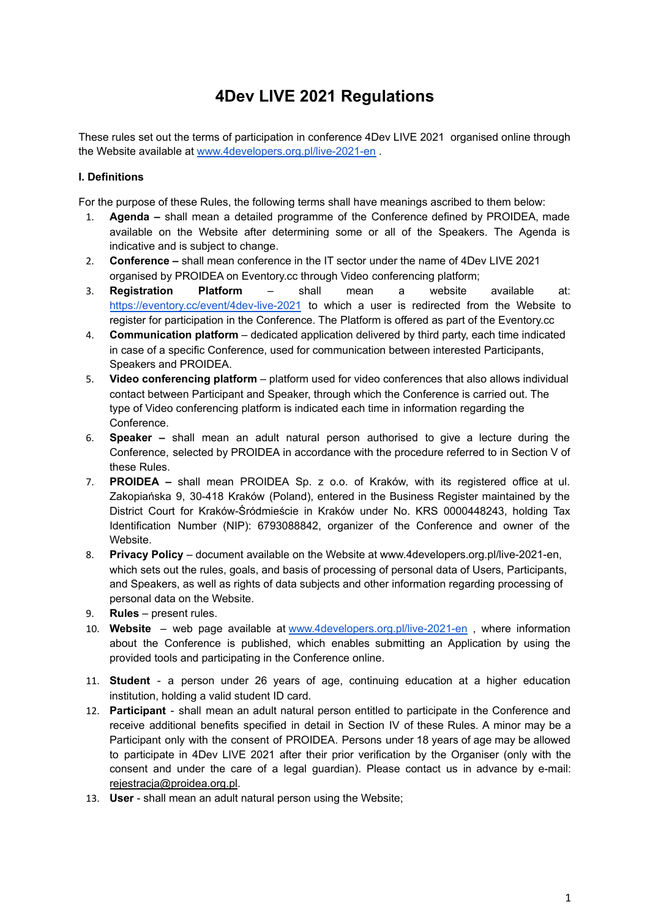# **4Dev LIVE 2021 Regulations**

These rules set out the terms of participation in conference 4Dev LIVE 2021 organised online through the Website available at [www.4developers.org.pl/live-2021-en](http://www.4developers.org.pl/live-2021-en) .

#### **I. Definitions**

For the purpose of these Rules, the following terms shall have meanings ascribed to them below:

- 1. **Agenda –** shall mean a detailed programme of the Conference defined by PROIDEA, made available on the Website after determining some or all of the Speakers. The Agenda is indicative and is subject to change.
- 2. **Conference –** shall mean conference in the IT sector under the name of 4Dev LIVE 2021 organised by PROIDEA on Eventory.cc through Video conferencing platform;
- 3. **Registration Platform** shall mean a website available at: <https://eventory.cc/event/4dev-live-2021> to which a user is redirected from the Website to register for participation in the Conference. The Platform is offered as part of the Eventory.cc
- 4. **Communication platform** dedicated application delivered by third party, each time indicated in case of a specific Conference, used for communication between interested Participants, Speakers and PROIDEA.
- 5. **Video conferencing platform** platform used for video conferences that also allows individual contact between Participant and Speaker, through which the Conference is carried out. The type of Video conferencing platform is indicated each time in information regarding the Conference.
- 6. **Speaker –** shall mean an adult natural person authorised to give a lecture during the Conference, selected by PROIDEA in accordance with the procedure referred to in Section V of these Rules.
- 7. **PROIDEA –** shall mean PROIDEA Sp. z o.o. of Kraków, with its registered office at ul. Zakopiańska 9, 30-418 Kraków (Poland), entered in the Business Register maintained by the District Court for Kraków-Śródmieście in Kraków under No. KRS 0000448243, holding Tax Identification Number (NIP): 6793088842, organizer of the Conference and owner of the Website.
- 8. **Privacy Policy** document available on the Website at www.4developers.org.pl/live-2021-en, which sets out the rules, goals, and basis of processing of personal data of Users, Participants, and Speakers, as well as rights of data subjects and other information regarding processing of personal data on the Website.
- 9. **Rules** present rules.
- 10. **Website** web page available at [www.4developers.org.pl/live-2021-en](http://www.4developers.org.pl/live-2021-en) , where information about the Conference is published, which enables submitting an Application by using the provided tools and participating in the Conference online.
- 11. **Student** a person under 26 years of age, continuing education at a higher education institution, holding a valid student ID card.
- 12. **Participant** shall mean an adult natural person entitled to participate in the Conference and receive additional benefits specified in detail in Section IV of these Rules. A minor may be a Participant only with the consent of PROIDEA. Persons under 18 years of age may be allowed to participate in 4Dev LIVE 2021 after their prior verification by the Organiser (only with the consent and under the care of a legal guardian). Please contact us in advance by e-mail: [rejestracja@proidea.org.pl.](mailto:rejestracja@proidea.org.pl)
- 13. **User** shall mean an adult natural person using the Website;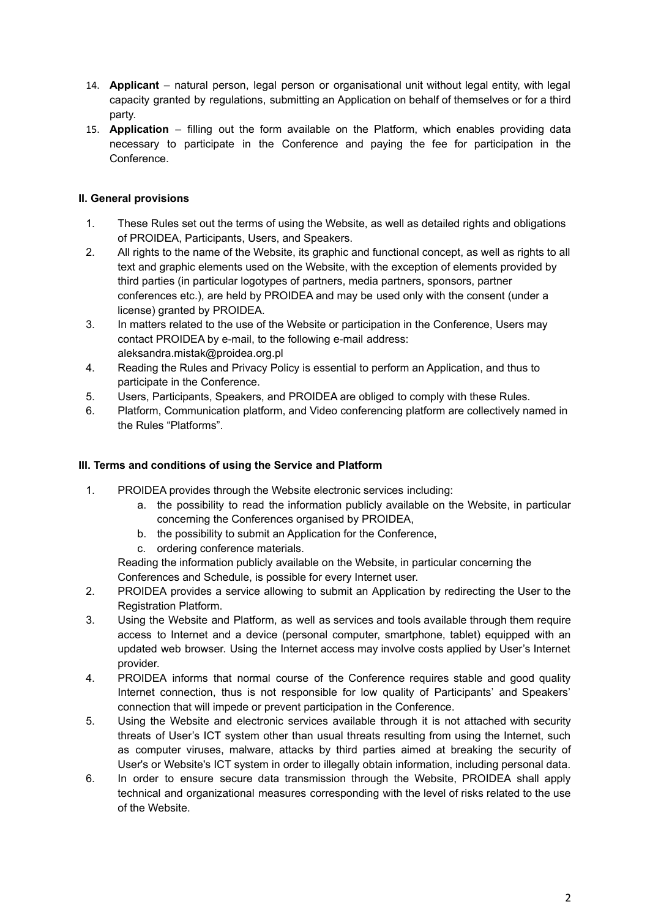- 14. **Applicant** natural person, legal person or organisational unit without legal entity, with legal capacity granted by regulations, submitting an Application on behalf of themselves or for a third party.
- 15. **Application** filling out the form available on the Platform, which enables providing data necessary to participate in the Conference and paying the fee for participation in the Conference.

## **II. General provisions**

- 1. These Rules set out the terms of using the Website, as well as detailed rights and obligations of PROIDEA, Participants, Users, and Speakers.
- 2. All rights to the name of the Website, its graphic and functional concept, as well as rights to all text and graphic elements used on the Website, with the exception of elements provided by third parties (in particular logotypes of partners, media partners, sponsors, partner conferences etc.), are held by PROIDEA and may be used only with the consent (under a license) granted by PROIDEA.
- 3. In matters related to the use of the Website or participation in the Conference, Users may contact PROIDEA by e-mail, to the following e-mail address: aleksandra.mistak@proidea.org.pl
- 4. Reading the Rules and Privacy Policy is essential to perform an Application, and thus to participate in the Conference.
- 5. Users, Participants, Speakers, and PROIDEA are obliged to comply with these Rules.
- 6. Platform, Communication platform, and Video conferencing platform are collectively named in the Rules "Platforms".

## **III. Terms and conditions of using the Service and Platform**

- 1. PROIDEA provides through the Website electronic services including:
	- a. the possibility to read the information publicly available on the Website, in particular concerning the Conferences organised by PROIDEA,
	- b. the possibility to submit an Application for the Conference,
	- c. ordering conference materials.

Reading the information publicly available on the Website, in particular concerning the Conferences and Schedule, is possible for every Internet user.

- 2. PROIDEA provides a service allowing to submit an Application by redirecting the User to the Registration Platform.
- 3. Using the Website and Platform, as well as services and tools available through them require access to Internet and a device (personal computer, smartphone, tablet) equipped with an updated web browser. Using the Internet access may involve costs applied by User's Internet provider.
- 4. PROIDEA informs that normal course of the Conference requires stable and good quality Internet connection, thus is not responsible for low quality of Participants' and Speakers' connection that will impede or prevent participation in the Conference.
- 5. Using the Website and electronic services available through it is not attached with security threats of User's ICT system other than usual threats resulting from using the Internet, such as computer viruses, malware, attacks by third parties aimed at breaking the security of User's or Website's ICT system in order to illegally obtain information, including personal data.
- 6. In order to ensure secure data transmission through the Website, PROIDEA shall apply technical and organizational measures corresponding with the level of risks related to the use of the Website.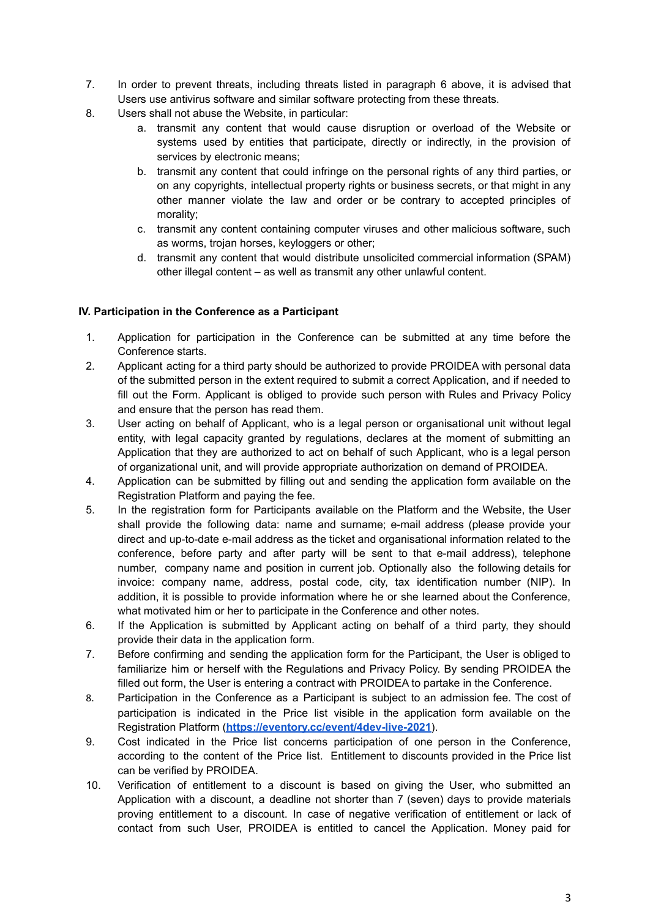- 7. In order to prevent threats, including threats listed in paragraph 6 above, it is advised that Users use antivirus software and similar software protecting from these threats.
- 8. Users shall not abuse the Website, in particular:
	- a. transmit any content that would cause disruption or overload of the Website or systems used by entities that participate, directly or indirectly, in the provision of services by electronic means;
	- b. transmit any content that could infringe on the personal rights of any third parties, or on any copyrights, intellectual property rights or business secrets, or that might in any other manner violate the law and order or be contrary to accepted principles of morality;
	- c. transmit any content containing computer viruses and other malicious software, such as worms, trojan horses, keyloggers or other;
	- d. transmit any content that would distribute unsolicited commercial information (SPAM) other illegal content – as well as transmit any other unlawful content.

## **IV. Participation in the Conference as a Participant**

- 1. Application for participation in the Conference can be submitted at any time before the Conference starts.
- 2. Applicant acting for a third party should be authorized to provide PROIDEA with personal data of the submitted person in the extent required to submit a correct Application, and if needed to fill out the Form. Applicant is obliged to provide such person with Rules and Privacy Policy and ensure that the person has read them.
- 3. User acting on behalf of Applicant, who is a legal person or organisational unit without legal entity, with legal capacity granted by regulations, declares at the moment of submitting an Application that they are authorized to act on behalf of such Applicant, who is a legal person of organizational unit, and will provide appropriate authorization on demand of PROIDEA.
- 4. Application can be submitted by filling out and sending the application form available on the Registration Platform and paying the fee.
- 5. In the registration form for Participants available on the Platform and the Website, the User shall provide the following data: name and surname; e-mail address (please provide your direct and up-to-date e-mail address as the ticket and organisational information related to the conference, before party and after party will be sent to that e-mail address), telephone number, company name and position in current job. Optionally also the following details for invoice: company name, address, postal code, city, tax identification number (NIP). In addition, it is possible to provide information where he or she learned about the Conference, what motivated him or her to participate in the Conference and other notes.
- 6. If the Application is submitted by Applicant acting on behalf of a third party, they should provide their data in the application form.
- 7. Before confirming and sending the application form for the Participant, the User is obliged to familiarize him or herself with the Regulations and Privacy Policy. By sending PROIDEA the filled out form, the User is entering a contract with PROIDEA to partake in the Conference.
- 8. Participation in the Conference as a Participant is subject to an admission fee. The cost of participation is indicated in the Price list visible in the application form available on the Registration Platform (**<https://eventory.cc/event/4dev-live-2021>**).
- 9. Cost indicated in the Price list concerns participation of one person in the Conference, according to the content of the Price list. Entitlement to discounts provided in the Price list can be verified by PROIDEA.
- 10. Verification of entitlement to a discount is based on giving the User, who submitted an Application with a discount, a deadline not shorter than 7 (seven) days to provide materials proving entitlement to a discount. In case of negative verification of entitlement or lack of contact from such User, PROIDEA is entitled to cancel the Application. Money paid for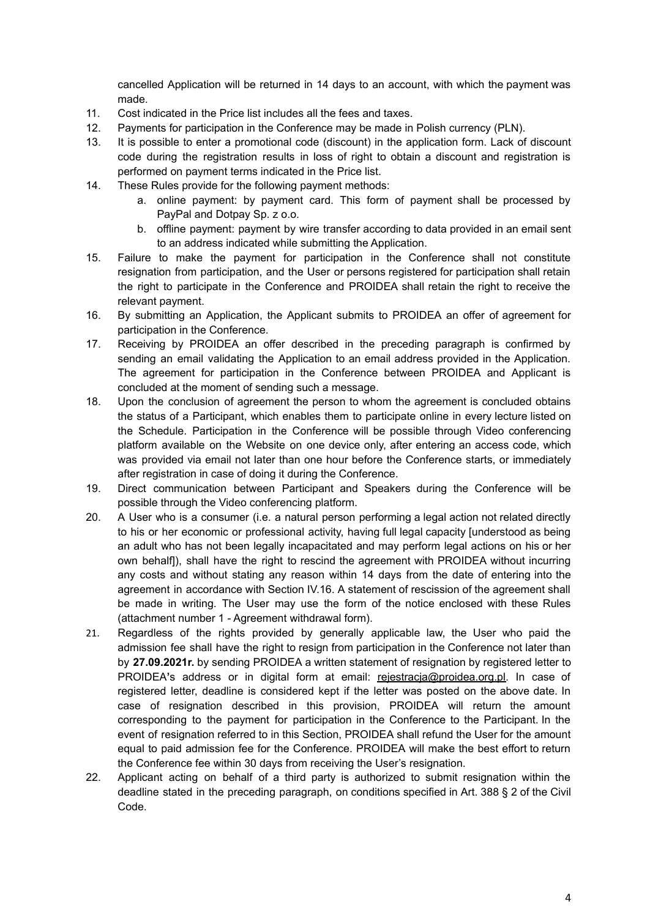cancelled Application will be returned in 14 days to an account, with which the payment was made.

- 11. Cost indicated in the Price list includes all the fees and taxes.
- 12. Payments for participation in the Conference may be made in Polish currency (PLN).
- 13. It is possible to enter a promotional code (discount) in the application form. Lack of discount code during the registration results in loss of right to obtain a discount and registration is performed on payment terms indicated in the Price list.
- 14. These Rules provide for the following payment methods:
	- a. online payment: by payment card. This form of payment shall be processed by PayPal and Dotpay Sp. z o.o.
	- b. offline payment: payment by wire transfer according to data provided in an email sent to an address indicated while submitting the Application.
- 15. Failure to make the payment for participation in the Conference shall not constitute resignation from participation, and the User or persons registered for participation shall retain the right to participate in the Conference and PROIDEA shall retain the right to receive the relevant payment.
- 16. By submitting an Application, the Applicant submits to PROIDEA an offer of agreement for participation in the Conference.
- 17. Receiving by PROIDEA an offer described in the preceding paragraph is confirmed by sending an email validating the Application to an email address provided in the Application. The agreement for participation in the Conference between PROIDEA and Applicant is concluded at the moment of sending such a message.
- 18. Upon the conclusion of agreement the person to whom the agreement is concluded obtains the status of a Participant, which enables them to participate online in every lecture listed on the Schedule. Participation in the Conference will be possible through Video conferencing platform available on the Website on one device only, after entering an access code, which was provided via email not later than one hour before the Conference starts, or immediately after registration in case of doing it during the Conference.
- 19. Direct communication between Participant and Speakers during the Conference will be possible through the Video conferencing platform.
- 20. A User who is a consumer (i.e. a natural person performing a legal action not related directly to his or her economic or professional activity, having full legal capacity [understood as being an adult who has not been legally incapacitated and may perform legal actions on his or her own behalf]), shall have the right to rescind the agreement with PROIDEA without incurring any costs and without stating any reason within 14 days from the date of entering into the agreement in accordance with Section IV.16. A statement of rescission of the agreement shall be made in writing. The User may use the form of the notice enclosed with these Rules (attachment number 1 - Agreement withdrawal form).
- 21. Regardless of the rights provided by generally applicable law, the User who paid the admission fee shall have the right to resign from participation in the Conference not later than by **27.09.2021r.** by sending PROIDEA a written statement of resignation by registered letter to PROIDEA's address or in digital form at email: [rejestracja@proidea.org.pl.](mailto:rejestracja@proidea.org.pl) In case of registered letter, deadline is considered kept if the letter was posted on the above date. In case of resignation described in this provision, PROIDEA will return the amount corresponding to the payment for participation in the Conference to the Participant. In the event of resignation referred to in this Section, PROIDEA shall refund the User for the amount equal to paid admission fee for the Conference. PROIDEA will make the best effort to return the Conference fee within 30 days from receiving the User's resignation.
- 22. Applicant acting on behalf of a third party is authorized to submit resignation within the deadline stated in the preceding paragraph, on conditions specified in Art. 388 § 2 of the Civil Code.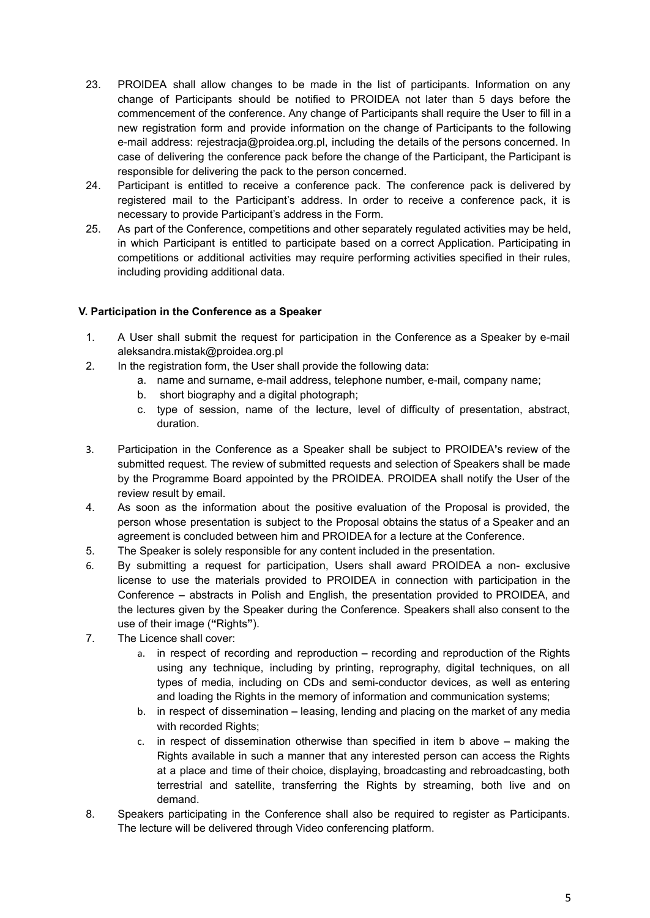- 23. PROIDEA shall allow changes to be made in the list of participants. Information on any change of Participants should be notified to PROIDEA not later than 5 days before the commencement of the conference. Any change of Participants shall require the User to fill in a new registration form and provide information on the change of Participants to the following e-mail address: rejestracja@proidea.org.pl, including the details of the persons concerned. In case of delivering the conference pack before the change of the Participant, the Participant is responsible for delivering the pack to the person concerned.
- 24. Participant is entitled to receive a conference pack. The conference pack is delivered by registered mail to the Participant's address. In order to receive a conference pack, it is necessary to provide Participant's address in the Form.
- 25. As part of the Conference, competitions and other separately regulated activities may be held, in which Participant is entitled to participate based on a correct Application. Participating in competitions or additional activities may require performing activities specified in their rules, including providing additional data.

## **V. Participation in the Conference as a Speaker**

- 1. A User shall submit the request for participation in the Conference as a Speaker by e-mail aleksandra.mistak@proidea.org.pl
- 2. In the registration form, the User shall provide the following data:
	- a. name and surname, e-mail address, telephone number, e-mail, company name;
	- b. short biography and a digital photograph;
	- c. type of session, name of the lecture, level of difficulty of presentation, abstract, duration.
- 3. Participation in the Conference as a Speaker shall be subject to PROIDEA**'**s review of the submitted request. The review of submitted requests and selection of Speakers shall be made by the Programme Board appointed by the PROIDEA. PROIDEA shall notify the User of the review result by email.
- 4. As soon as the information about the positive evaluation of the Proposal is provided, the person whose presentation is subject to the Proposal obtains the status of a Speaker and an agreement is concluded between him and PROIDEA for a lecture at the Conference.
- 5. The Speaker is solely responsible for any content included in the presentation.
- 6. By submitting a request for participation, Users shall award PROIDEA a non- exclusive license to use the materials provided to PROIDEA in connection with participation in the Conference **–** abstracts in Polish and English, the presentation provided to PROIDEA, and the lectures given by the Speaker during the Conference. Speakers shall also consent to the use of their image (**"**Rights**"**).
- 7. The Licence shall cover:
	- a. in respect of recording and reproduction **–** recording and reproduction of the Rights using any technique, including by printing, reprography, digital techniques, on all types of media, including on CDs and semi-conductor devices, as well as entering and loading the Rights in the memory of information and communication systems;
	- b. in respect of dissemination **–** leasing, lending and placing on the market of any media with recorded Rights:
	- c. in respect of dissemination otherwise than specified in item b above **–** making the Rights available in such a manner that any interested person can access the Rights at a place and time of their choice, displaying, broadcasting and rebroadcasting, both terrestrial and satellite, transferring the Rights by streaming, both live and on demand.
- 8. Speakers participating in the Conference shall also be required to register as Participants. The lecture will be delivered through Video conferencing platform.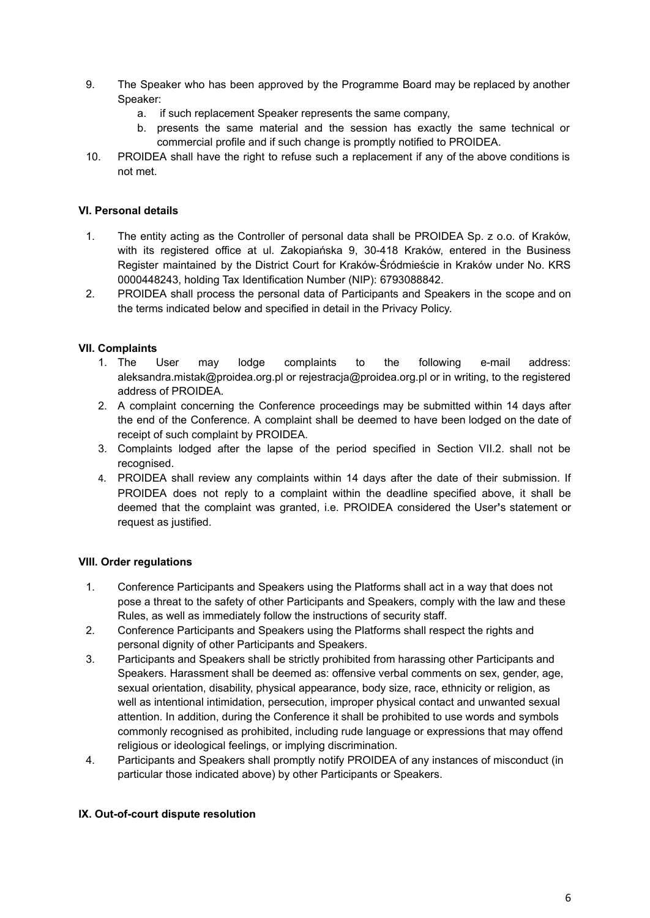- 9. The Speaker who has been approved by the Programme Board may be replaced by another Speaker:
	- a. if such replacement Speaker represents the same company,
	- b. presents the same material and the session has exactly the same technical or commercial profile and if such change is promptly notified to PROIDEA.
- 10. PROIDEA shall have the right to refuse such a replacement if any of the above conditions is not met.

#### **VI. Personal details**

- 1. The entity acting as the Controller of personal data shall be PROIDEA Sp. z o.o. of Kraków, with its registered office at ul. Zakopiańska 9, 30-418 Kraków, entered in the Business Register maintained by the District Court for Kraków-Śródmieście in Kraków under No. KRS 0000448243, holding Tax Identification Number (NIP): 6793088842.
- 2. PROIDEA shall process the personal data of Participants and Speakers in the scope and on the terms indicated below and specified in detail in the Privacy Policy.

#### **VII. Complaints**

- 1. The User may lodge complaints to the following e-mail address: aleksandra.mistak@proidea.org.pl or rejestracja@proidea.org.pl or in writing, to the registered address of PROIDEA.
- 2. A complaint concerning the Conference proceedings may be submitted within 14 days after the end of the Conference. A complaint shall be deemed to have been lodged on the date of receipt of such complaint by PROIDEA.
- 3. Complaints lodged after the lapse of the period specified in Section VII.2. shall not be recognised.
- 4. PROIDEA shall review any complaints within 14 days after the date of their submission. If PROIDEA does not reply to a complaint within the deadline specified above, it shall be deemed that the complaint was granted, i.e. PROIDEA considered the User**'**s statement or request as justified.

#### **VIII. Order regulations**

- 1. Conference Participants and Speakers using the Platforms shall act in a way that does not pose a threat to the safety of other Participants and Speakers, comply with the law and these Rules, as well as immediately follow the instructions of security staff.
- 2. Conference Participants and Speakers using the Platforms shall respect the rights and personal dignity of other Participants and Speakers.
- 3. Participants and Speakers shall be strictly prohibited from harassing other Participants and Speakers. Harassment shall be deemed as: offensive verbal comments on sex, gender, age, sexual orientation, disability, physical appearance, body size, race, ethnicity or religion, as well as intentional intimidation, persecution, improper physical contact and unwanted sexual attention. In addition, during the Conference it shall be prohibited to use words and symbols commonly recognised as prohibited, including rude language or expressions that may offend religious or ideological feelings, or implying discrimination.
- 4. Participants and Speakers shall promptly notify PROIDEA of any instances of misconduct (in particular those indicated above) by other Participants or Speakers.

#### **IX. Out-of-court dispute resolution**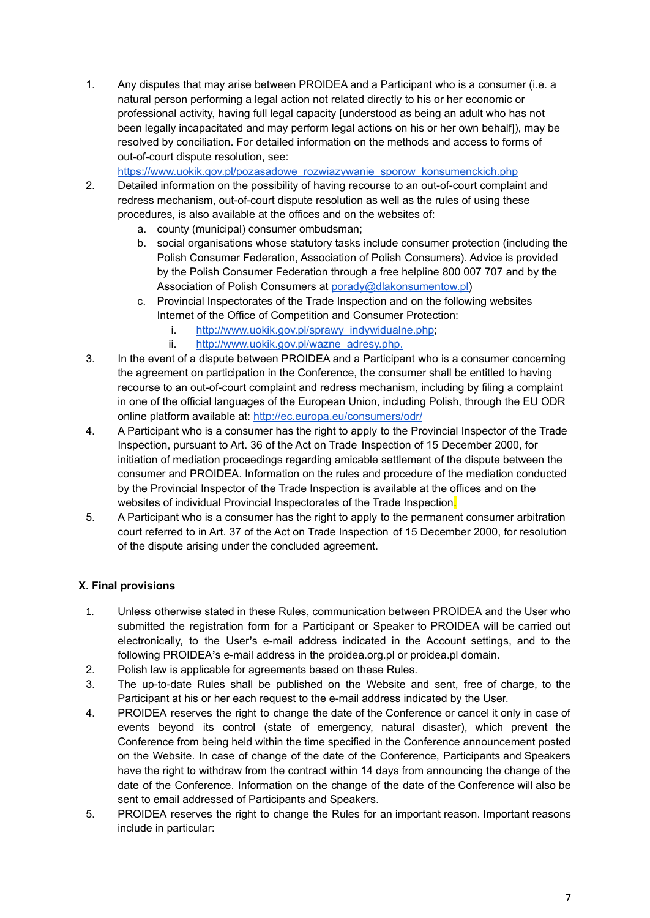1. Any disputes that may arise between PROIDEA and a Participant who is a consumer (i.e. a natural person performing a legal action not related directly to his or her economic or professional activity, having full legal capacity [understood as being an adult who has not been legally incapacitated and may perform legal actions on his or her own behalf]), may be resolved by conciliation. For detailed information on the methods and access to forms of out-of-court dispute resolution, see:

[https://www.uokik.gov.pl/pozasadowe\\_rozwiazywanie\\_sporow\\_konsumenckich.php](https://www.uokik.gov.pl/pozasadowe_rozwiazywanie_sporow_konsumenckich.php)

- 2. Detailed information on the possibility of having recourse to an out-of-court complaint and redress mechanism, out-of-court dispute resolution as well as the rules of using these procedures, is also available at the offices and on the websites of:
	- a. county (municipal) consumer ombudsman;
	- b. social organisations whose statutory tasks include consumer protection (including the Polish Consumer Federation, Association of Polish Consumers). Advice is provided by the Polish Consumer Federation through a free helpline 800 007 707 and by the Association of Polish Consumers at [porady@dlakonsumentow.pl\)](mailto:porady@dlakonsumentow.pl)
	- c. Provincial Inspectorates of the Trade Inspection and on the following websites Internet of the Office of Competition and Consumer Protection:
		- i. [http://www.uokik.gov.pl/sprawy\\_indywidualne.php](http://www.uokik.gov.pl/sprawy_indywidualne.php);
		- ii. [http://www.uokik.gov.pl/wazne\\_adresy.php.](http://www.uokik.gov.pl/wazne_adresy.php.)
- 3. In the event of a dispute between PROIDEA and a Participant who is a consumer concerning the agreement on participation in the Conference, the consumer shall be entitled to having recourse to an out-of-court complaint and redress mechanism, including by filing a complaint in one of the official languages of the European Union, including Polish, through the EU ODR online platform available at: <http://ec.europa.eu/consumers/odr/>
- 4. A Participant who is a consumer has the right to apply to the Provincial Inspector of the Trade Inspection, pursuant to Art. 36 of the Act on Trade Inspection of 15 December 2000, for initiation of mediation proceedings regarding amicable settlement of the dispute between the consumer and PROIDEA. Information on the rules and procedure of the mediation conducted by the Provincial Inspector of the Trade Inspection is available at the offices and on the websites of individual Provincial Inspectorates of the Trade Inspection.
- 5. A Participant who is a consumer has the right to apply to the permanent consumer arbitration court referred to in Art. 37 of the Act on Trade Inspection of 15 December 2000, for resolution of the dispute arising under the concluded agreement.

## **X. Final provisions**

- 1. Unless otherwise stated in these Rules, communication between PROIDEA and the User who submitted the registration form for a Participant or Speaker to PROIDEA will be carried out electronically, to the User**'**s e-mail address indicated in the Account settings, and to the following PROIDEA**'**s e-mail address in the proidea.org.pl or proidea.pl domain.
- 2. Polish law is applicable for agreements based on these Rules.
- 3. The up-to-date Rules shall be published on the Website and sent, free of charge, to the Participant at his or her each request to the e-mail address indicated by the User.
- 4. PROIDEA reserves the right to change the date of the Conference or cancel it only in case of events beyond its control (state of emergency, natural disaster), which prevent the Conference from being held within the time specified in the Conference announcement posted on the Website. In case of change of the date of the Conference, Participants and Speakers have the right to withdraw from the contract within 14 days from announcing the change of the date of the Conference. Information on the change of the date of the Conference will also be sent to email addressed of Participants and Speakers.
- 5. PROIDEA reserves the right to change the Rules for an important reason. Important reasons include in particular: